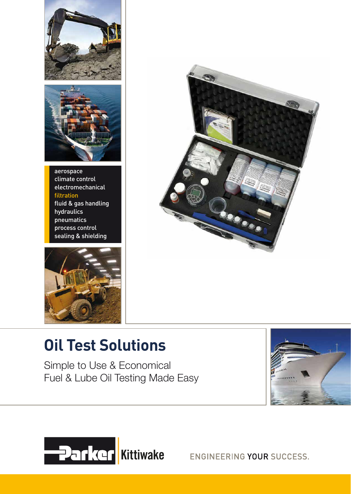



aerospace climate control electromechanical filtration fluid & gas handling hydraulics pneumatics process control sealing & shielding





# **Oil Test Solutions**

Simple to Use & Economical Fuel & Lube Oil Testing Made Easy





ENGINEERING YOUR SUCCESS.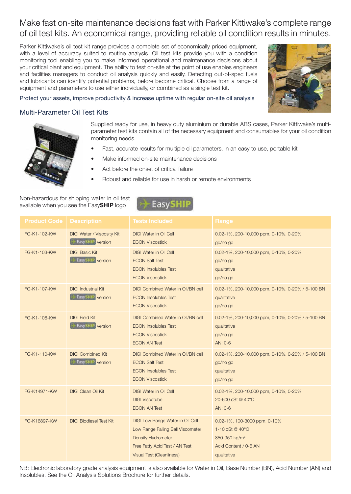# Make fast on-site maintenance decisions fast with Parker Kittiwake's complete range of oil test kits. An economical range, providing reliable oil condition results in minutes.

Parker Kittiwake's oil test kit range provides a complete set of economically priced equipment, with a level of accuracy suited to routine analysis. Oil test kits provide you with a condition monitoring tool enabling you to make informed operational and maintenance decisions about your critical plant and equipment. The ability to test on-site at the point of use enables engineers and facilities managers to conduct oil analysis quickly and easily. Detecting out-of-spec fuels and lubricants can identify potential problems, before become critical. Choose from a range of equipment and parameters to use either individually, or combined as a single test kit.



Protect your assets, improve productivity & increase uptime with regular on-site oil analysis

# Multi-Parameter Oil Test Kits



Supplied ready for use, in heavy duty aluminium or durable ABS cases, Parker Kittiwake's multiparameter test kits contain all of the necessary equipment and consumables for your oil condition monitoring needs.

- Fast, accurate results for multiple oil parameters, in an easy to use, portable kit
- Make informed on-site maintenance decisions
- Act before the onset of critical failure
- Robust and reliable for use in harsh or remote environments

### Non-hazardous for shipping water in oil test available when you see the EasySHIP logo



| <b>Product Code</b> | <b>Description</b>                                     | Tests Included                                                                                                                                             | Range                                                                                                                |
|---------------------|--------------------------------------------------------|------------------------------------------------------------------------------------------------------------------------------------------------------------|----------------------------------------------------------------------------------------------------------------------|
| FG-K1-102-KW        | DIGI Water / Viscosity Kit<br><b>Easy</b> FIIP version | <b>DIGI Water in Oil Cell</b><br><b>ECON Viscostick</b>                                                                                                    | 0.02-1%, 200-10,000 ppm, 0-10%, 0-20%<br>go/no go                                                                    |
| FG-K1-103-KW        | <b>DIGI Basic Kit</b><br><b>Easy</b> HIP version       | <b>DIGI Water in Oil Cell</b><br><b>ECON Salt Test</b><br><b>ECON Insolubles Test</b><br><b>ECON Viscostick</b>                                            | 0.02-1%, 200-10,000 ppm, 0-10%, 0-20%<br>go/no go<br>qualitative<br>go/no go                                         |
| FG-K1-107-KW        | <b>DIGI Industrial Kit</b><br><b>Easy</b> HIP version  | <b>DIGI Combined Water in Oil/BN cell</b><br><b>ECON Insolubles Test</b><br><b>ECON Viscostick</b>                                                         | 0.02-1%, 200-10,000 ppm, 0-10%, 0-20% / 5-100 BN<br>qualitative<br>go/no go                                          |
| FG-K1-108-KW        | <b>DIGI Field Kit</b><br><b>Easy</b> HIP version       | <b>DIGI Combined Water in Oil/BN cell</b><br><b>ECON Insolubles Test</b><br><b>ECON Viscostick</b><br><b>ECON AN Test</b>                                  | 0.02-1%, 200-10,000 ppm, 0-10%, 0-20% / 5-100 BN<br>qualitative<br>go/no go<br>AN: 0-6                               |
| FG-K1-110-KW        | <b>DIGI Combined Kit</b><br><b>Easy</b> HIP version    | <b>DIGI Combined Water in Oil/BN cell</b><br><b>ECON Salt Test</b><br><b>ECON Insolubles Test</b><br><b>ECON Viscostick</b>                                | 0.02-1%, 200-10,000 ppm, 0-10%, 0-20% / 5-100 BN<br>go/no go<br>qualitative<br>go/no go                              |
| FG-K14971-KW        | <b>DIGI Clean Oil Kit</b>                              | <b>DIGI Water in Oil Cell</b><br><b>DIGI Viscotube</b><br><b>ECON AN Test</b>                                                                              | 0.02-1%, 200-10,000 ppm, 0-10%, 0-20%<br>20-600 cSt @ 40°C<br>AN: 0-6                                                |
| FG-K16897-KW        | <b>DIGI Biodiesel Test Kit</b>                         | DIGI Low Range Water in Oil Cell<br>Low Range Falling Ball Viscometer<br>Density Hydrometer<br>Free Fatty Acid Test / AN Test<br>Visual Test (Cleanliness) | 0.02-1%, 100-3000 ppm, 0-10%<br>1-10 cSt @ 40°C<br>850-950 kg/m <sup>3</sup><br>Acid Content / 0-6 AN<br>qualitative |

NB: Electronic laboratory grade analysis equipment is also available for Water in Oil, Base Number (BN), Acid Number (AN) and Insolubles. See the Oil Analysis Solutions Brochure for further details.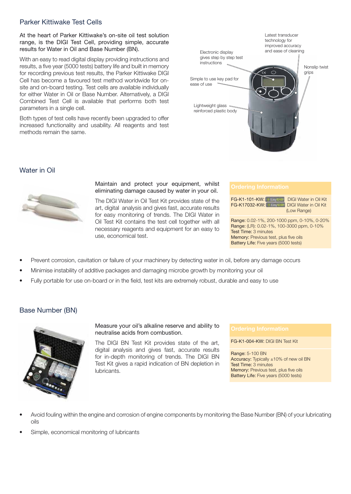# Parker Kittiwake Test Cells

At the heart of Parker Kittiwake's on-site oil test solution range, is the DIGI Test Cell, providing simple, accurate results for Water in Oil and Base Number (BN).

With an easy to read digital display providing instructions and results, a five year (5000 tests) battery life and built in memory for recording previous test results, the Parker Kittiwake DIGI Cell has become a favoured test method worldwide for onsite and on-board testing. Test cells are available individually for either Water in Oil or Base Number. Alternatively, a DIGI Combined Test Cell is available that performs both test parameters in a single cell.

Both types of test cells have recently been upgraded to offer increased functionality and usability. All reagents and test methods remain the same.



### Water in Oil



Maintain and protect your equipment, whilst eliminating damage caused by water in your oil.

The DIGI Water in Oil Test Kit provides state of the art, digital analysis and gives fast, accurate results for easy monitoring of trends. The DIGI Water in Oil Test Kit contains the test cell together with all necessary reagents and equipment for an easy to use, economical test.

| <b>FG-K1-101-KW:</b> Fast State<br>FG-K17032-KW:                                                                | <b>DIGI Water in Oil Kit</b><br><b>DIGI Water in Oil Kit</b><br>(Low Range) |
|-----------------------------------------------------------------------------------------------------------------|-----------------------------------------------------------------------------|
| Range: 0.02-1%, 200-1000 ppm, 0-10%, 0-20%<br>Range: (LR): 0.02-1%, 100-3000 ppm, 0-10%<br>Test Time: 3 minutes |                                                                             |

Test Time: 3 minutes Memory: Previous test, plus five oils Battery Life: Five years (5000 tests)

- Prevent corrosion, cavitation or failure of your machinery by detecting water in oil, before any damage occurs
- Minimise instability of additive packages and damaging microbe growth by monitoring your oil
- Fully portable for use on-board or in the field, test kits are extremely robust, durable and easy to use

### Base Number (BN)



Measure your oil's alkaline reserve and ability to neutralise acids from combustion.

The DIGI BN Test Kit provides state of the art, digital analysis and gives fast, accurate results for in-depth monitoring of trends. The DIGI BN Test Kit gives a rapid indication of BN depletion in lubricants.

FG-K1-004-KW: DIGI BN Test Kit

Range: 5-100 BN Accuracy: Typically ±10% of new oil BN Test Time: 3 minutes Memory: Previous test, plus five oils Battery Life: Five years (5000 tests)

- Avoid fouling within the engine and corrosion of engine components by monitoring the Base Number (BN) of your lubricating oils
- Simple, economical monitoring of lubricants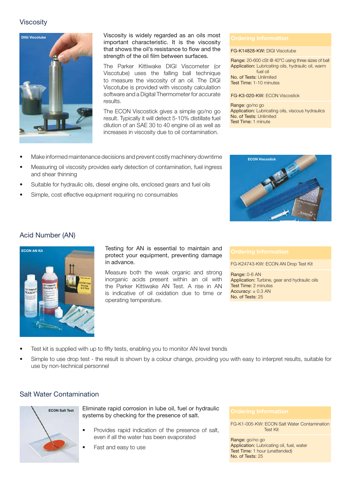# **Viscosity**



Viscosity is widely regarded as an oils most important characteristic. It is the viscosity that shows the oil's resistance to flow and the strength of the oil film between surfaces.

The Parker Kittiwake DIGI Viscometer (or Viscotube) uses the falling ball technique to measure the viscosity of an oil. The DIGI Viscotube is provided with viscosity calculation software and a Digital Thermometer for accurate results.

The ECON Viscostick gives a simple go/no go result. Typically it will detect 5-10% distillate fuel dilution of an SAE 30 to 40 engine oil as well as increases in viscosity due to oil contamination.

### FG-K14828-KW: DIGI Viscotube

Range: 20-600 cSt @ 40°C using three sizes of ball Application: Lubricating oils, hydraulic oil, warm fuel oil

No. of Tests: Unlimited Test Time: 1-10 minutes

FG-K3-020-KW: ECON Viscostick

Range: go/no go Application: Lubricating oils, viscous hydraulics No. of Tests: Unlimited Test Time: 1 minute

- Make informed maintenance decisions and prevent costly machinery downtime
- Measuring oil viscosity provides early detection of contamination, fuel ingress and shear thinning
- Suitable for hydraulic oils, diesel engine oils, enclosed gears and fuel oils
- Simple, cost effective equipment requiring no consumables



### Acid Number (AN)



Testing for AN is essential to maintain and protect your equipment, preventing damage in advance.

Measure both the weak organic and strong inorganic acids present within an oil with the Parker Kittiwake AN Test. A rise in AN is indicative of oil oxidation due to time or operating temperature.

FG-K24743-KW: ECON AN Drop Test Kit

Range: 0-6 AN Application: Turbine, gear and hydraulic oils Test Time: 2 minutes Accuracy:  $\pm$  0.3 AN No. of Tests: 25

- Test kit is supplied with up to fifty tests, enabling you to monitor AN level trends
- Simple to use drop test the result is shown by a colour change, providing you with easy to interpret results, suitable for use by non-technical personnel

### Salt Water Contamination



Eliminate rapid corrosion in lube oil, fuel or hydraulic Ellinflate rapid corrosion in labe of, ider or hydradiic<br>systems by checking for the presence of salt.

- Provides rapid indication of the presence of salt, even if all the water has been evaporated
- Fast and easy to use

FG-K1-005-KW: ECON Salt Water Contamination Test Kit

Range: go/no go Application: Lubricating oil, fuel, water Test Time: 1 hour (unattended) No. of Tests: 25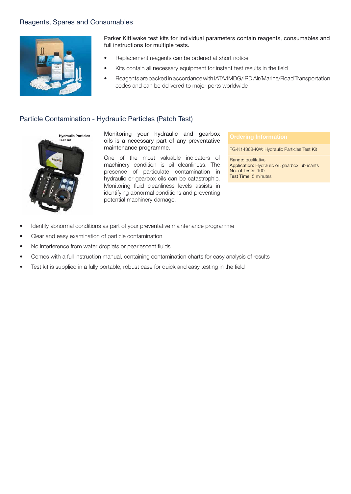# Reagents, Spares and Consumables



Parker Kittiwake test kits for individual parameters contain reagents, consumables and full instructions for multiple tests.

- Replacement reagents can be ordered at short notice
- Kits contain all necessary equipment for instant test results in the field
- Reagents are packed in accordance with IATA/IMDG/IRD Air/Marine/Road Transportation codes and can be delivered to major ports worldwide

## Particle Contamination - Hydraulic Particles (Patch Test)



Monitoring your hydraulic and gearbox oils is a necessary part of any preventative maintenance programme.

One of the most valuable indicators of machinery condition is oil cleanliness. The presence of particulate contamination in hydraulic or gearbox oils can be catastrophic. Monitoring fluid cleanliness levels assists in identifying abnormal conditions and preventing potential machinery damage.

FG-K14368-KW: Hydraulic Particles Test Kit

Range: qualitative Application: Hydraulic oil, gearbox lubricants No. of Tests: 100 Test Time: 5 minutes

- Identify abnormal conditions as part of your preventative maintenance programme
- Clear and easy examination of particle contamination
- No interference from water droplets or pearlescent fluids
- Comes with a full instruction manual, containing contamination charts for easy analysis of results
- Test kit is supplied in a fully portable, robust case for quick and easy testing in the field